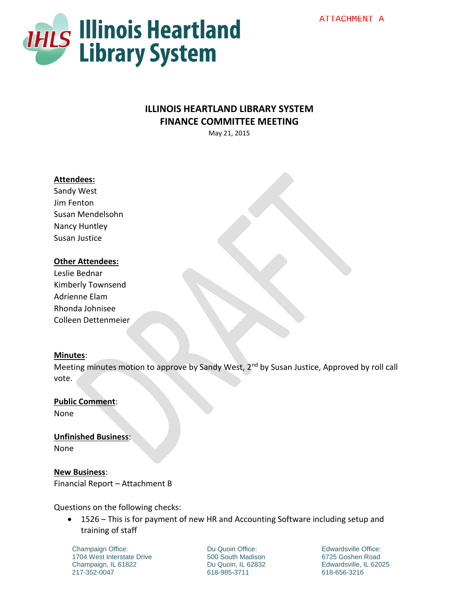

# **ILLINOIS HEARTLAND LIBRARY SYSTEM FINANCE COMMITTEE MEETING**

May 21, 2015

# **Attendees:**

Sandy West Jim Fenton Susan Mendelsohn Nancy Huntley Susan Justice

# **Other Attendees:**

Leslie Bednar Kimberly Townsend Adrienne Elam Rhonda Johnisee Colleen Dettenmeier

### **Minutes**:

Meeting minutes motion to approve by Sandy West, 2<sup>nd</sup> by Susan Justice, Approved by roll call vote.

### **Public Comment**:

None

**Unfinished Business**: None

### **New Business**:

Financial Report – Attachment B

Questions on the following checks:

 1526 – This is for payment of new HR and Accounting Software including setup and training of staff

Champaign Office: 1704 West Interstate Drive Champaign, IL 61822 217-352-0047

Du Quoin Office: 500 South Madison Du Quoin, IL 62832 618-985-3711

Edwardsville Office: 6725 Goshen Road Edwardsville, IL 62025 618-656-3216